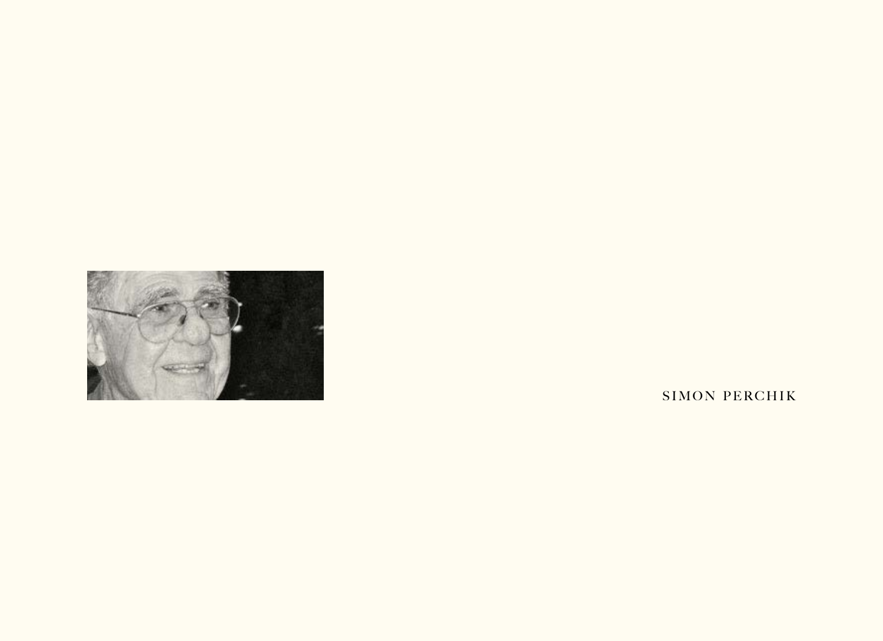

SIMON PERCHIK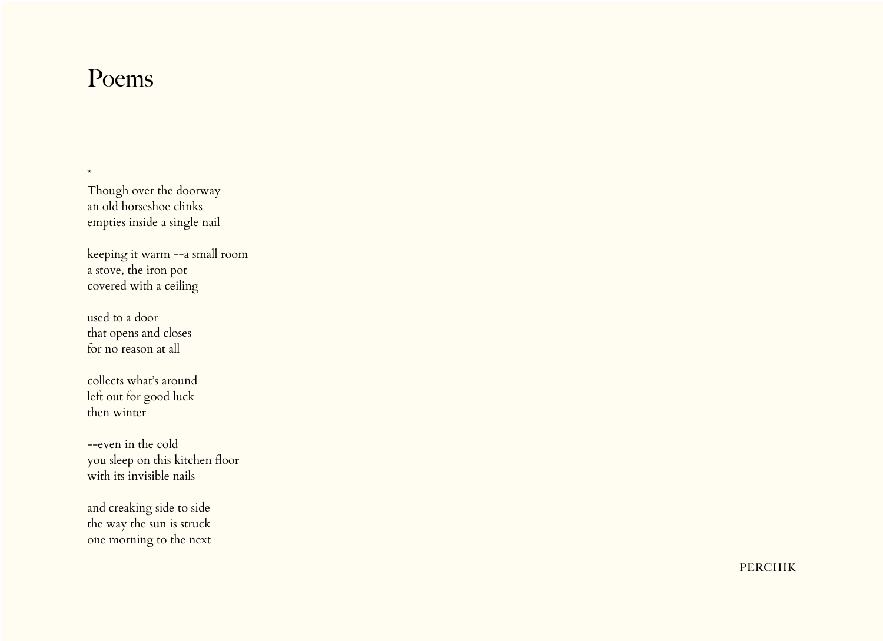## Poems

\*

Though over the doorway an old horseshoe clinks empties inside a single nail

keeping it warm --a small room a stove, the iron pot covered with a ceiling

used to a door that opens and closes for no reason at all

collects what's around left out for good luck then winter

--even in the cold you sleep on this kitchen floor with its invisible nails

and creaking side to side the way the sun is struck one morning to the next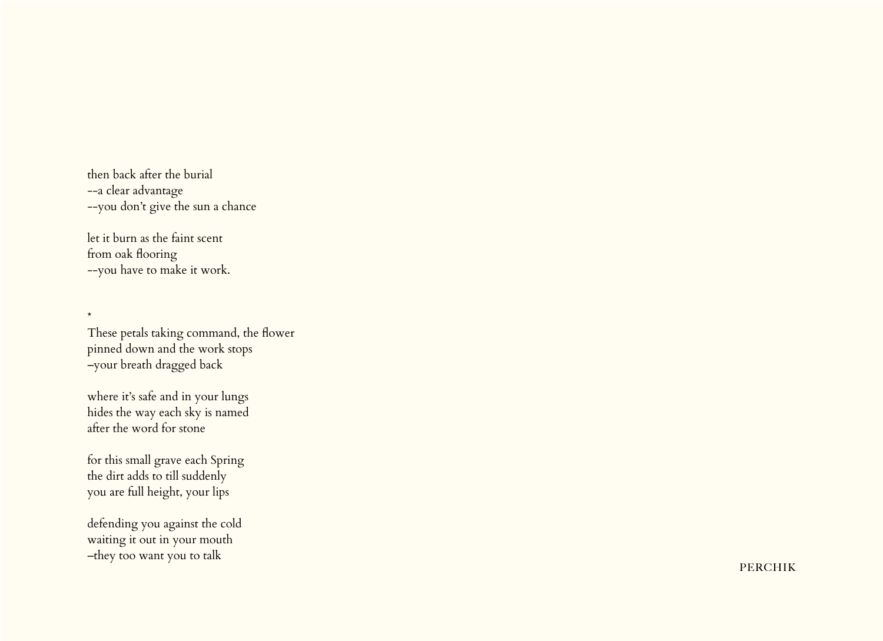then back after the burial --a clear advantage --you don't give the sun a chance

let it burn as the faint scent from oak flooring --you have to make it work.

\*

These petals taking command, the flower pinned down and the work stops –your breath dragged back

where it's safe and in your lungs hides the way each sky is named after the word for stone

for this small grave each Spring the dirt adds to till suddenly you are full height, your lips

defending you against the cold waiting it out in your mouth –they too want you to talk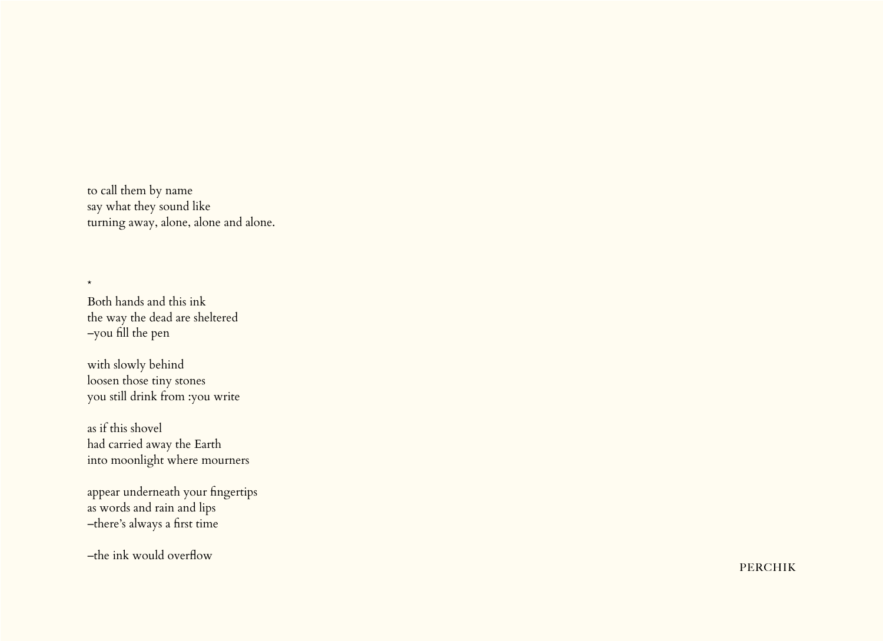to call them by name say what they sound like turning away, alone, alone and alone.

Both hands and this ink the way the dead are sheltered –you fill the pen

\*

with slowly behind loosen those tiny stones you still drink from :you write

as if this shovel had carried away the Earth into moonlight where mourners

appear underneath your fingertips as words and rain and lips –there's always a first time

–the ink would overflow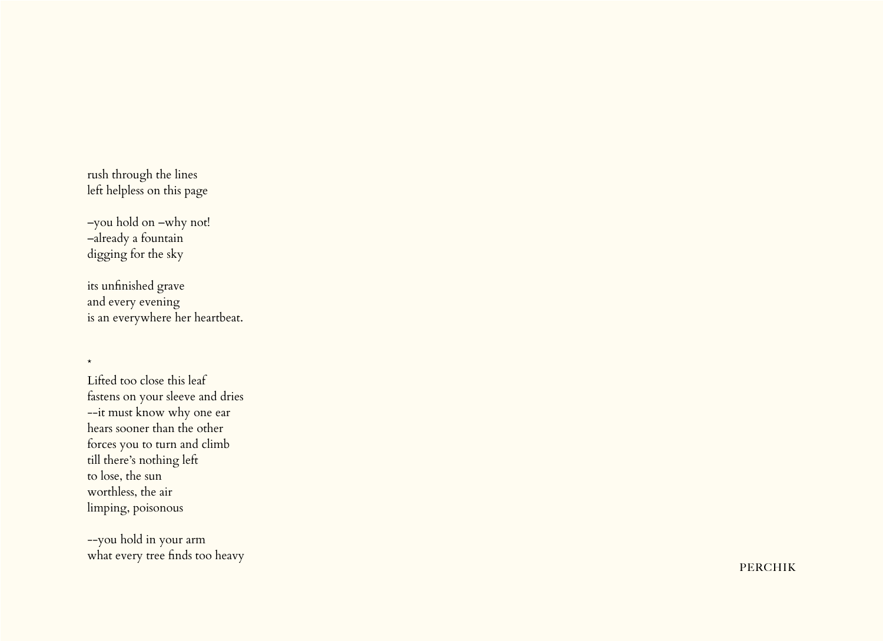rush through the lines left helpless on this page

–you hold on –why not! –already a fountain digging for the sky

\*

its unfinished grave and every evening is an everywhere her heartbeat.

Lifted too close this leaf fastens on your sleeve and dries --it must know why one ear hears sooner than the other forces you to turn and climb till there's nothing left to lose, the sun worthless, the air limping, poisonous

--you hold in your arm what every tree finds too heavy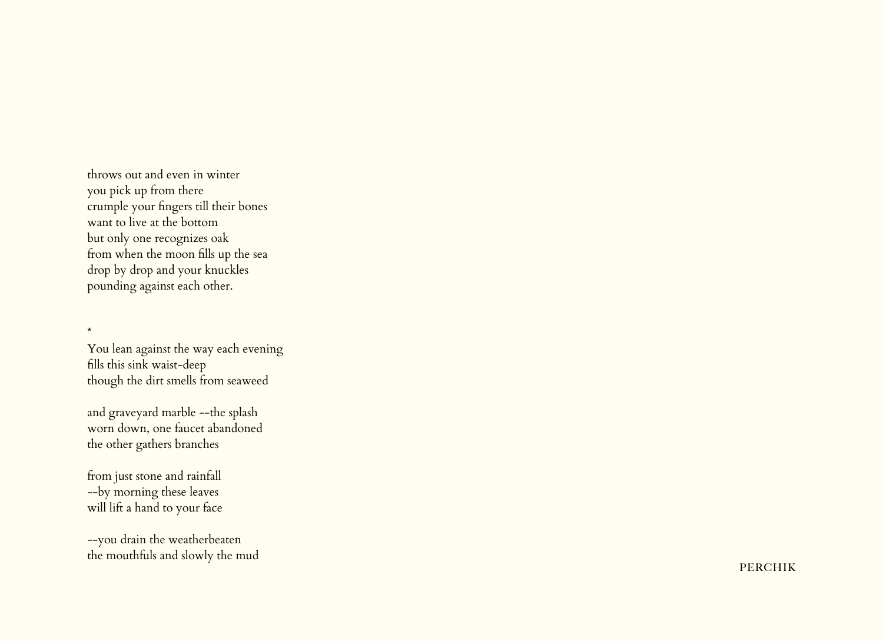throws out and even in winter you pick up from there crumple your fingers till their bones want to live at the bottom but only one recognizes oak from when the moon fills up the sea drop by drop and your knuckles pounding against each other.

You lean against the way each evening fills this sink waist-deep though the dirt smells from seaweed

and graveyard marble --the splash worn down, one faucet abandoned the other gathers branches

from just stone and rainfall --by morning these leaves will lift a hand to your face

\*

--you drain the weatherbeaten the mouthfuls and slowly the mud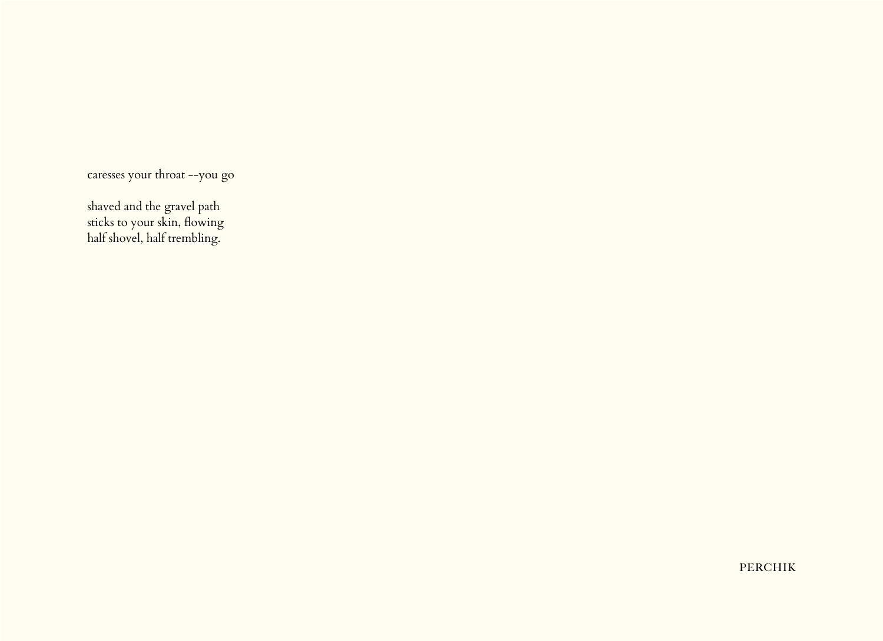caresses your throat --you go

shaved and the gravel path sticks to your skin, flowing half shovel, half trembling.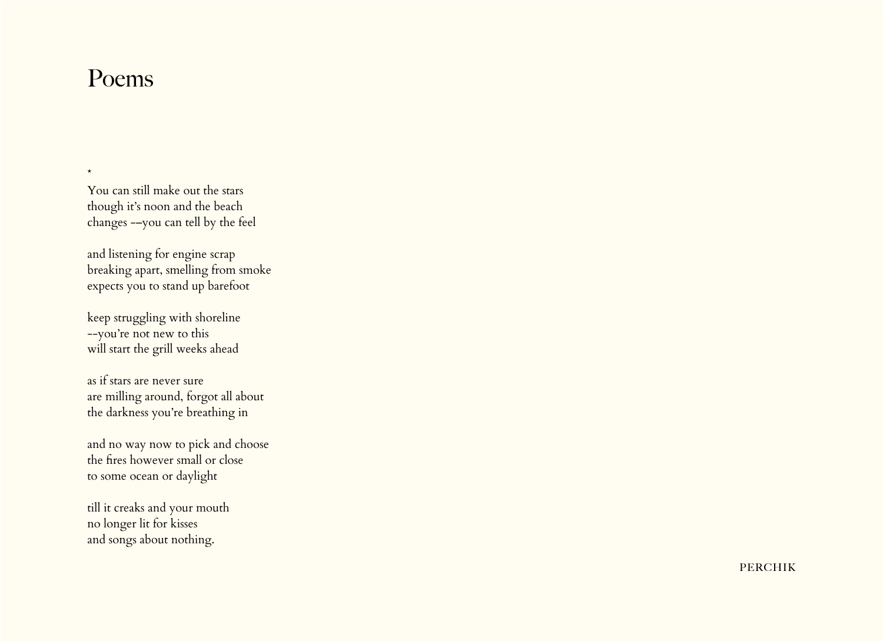## Poems

\*

You can still make out the stars though it's noon and the beach changes -–you can tell by the feel

and listening for engine scrap breaking apart, smelling from smoke expects you to stand up barefoot

keep struggling with shoreline --you're not new to this will start the grill weeks ahead

as if stars are never sure are milling around, forgot all about the darkness you're breathing in

and no way now to pick and choose the fires however small or close to some ocean or daylight

till it creaks and your mouth no longer lit for kisses and songs about nothing.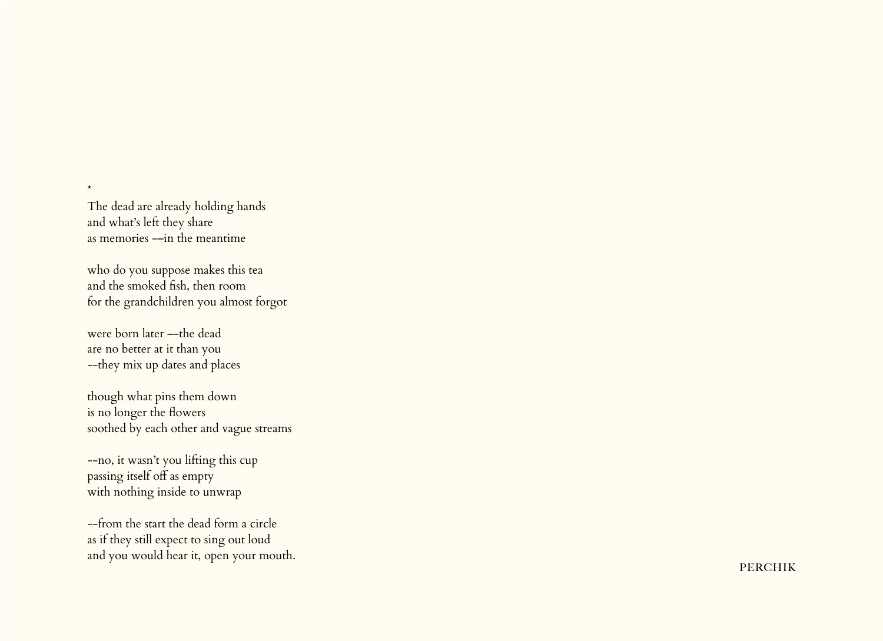The dead are already holding hands and what's left they share as memories -–in the meantime

\*

who do you suppose makes this tea and the smoked fish, then room for the grandchildren you almost forgot

were born later –-the dead are no better at it than you --they mix up dates and places

though what pins them down is no longer the flowers soothed by each other and vague streams

--no, it wasn't you lifting this cup passing itself off as empty with nothing inside to unwrap

--from the start the dead form a circle as if they still expect to sing out loud and you would hear it, open your mouth.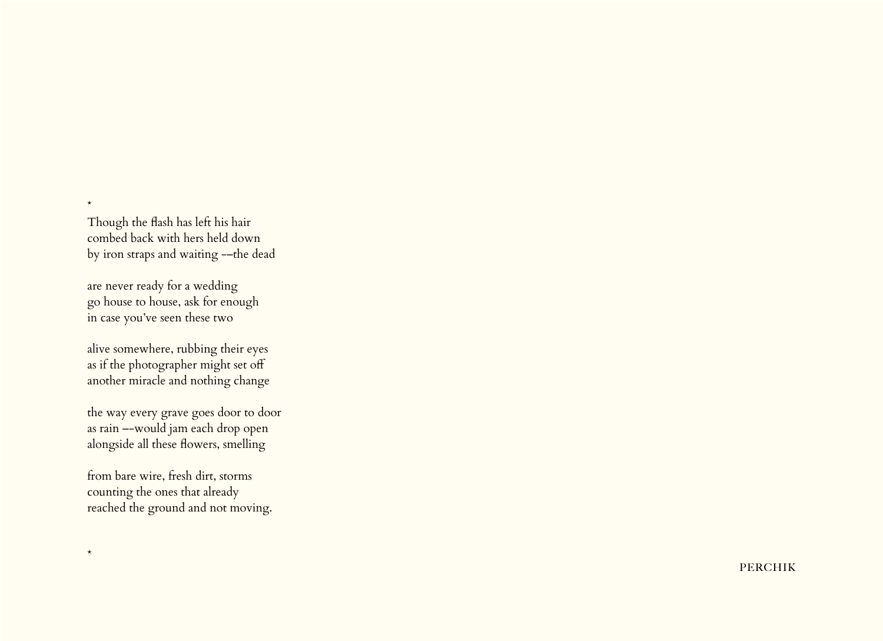Though the flash has left his hair combed back with hers held down by iron straps and waiting -–the dead

\*

\*

are never ready for a wedding go house to house, ask for enough in case you've seen these two

alive somewhere, rubbing their eyes as if the photographer might set off another miracle and nothing change

the way every grave goes door to door as rain –-would jam each drop open alongside all these flowers, smelling

from bare wire, fresh dirt, storms counting the ones that already reached the ground and not moving.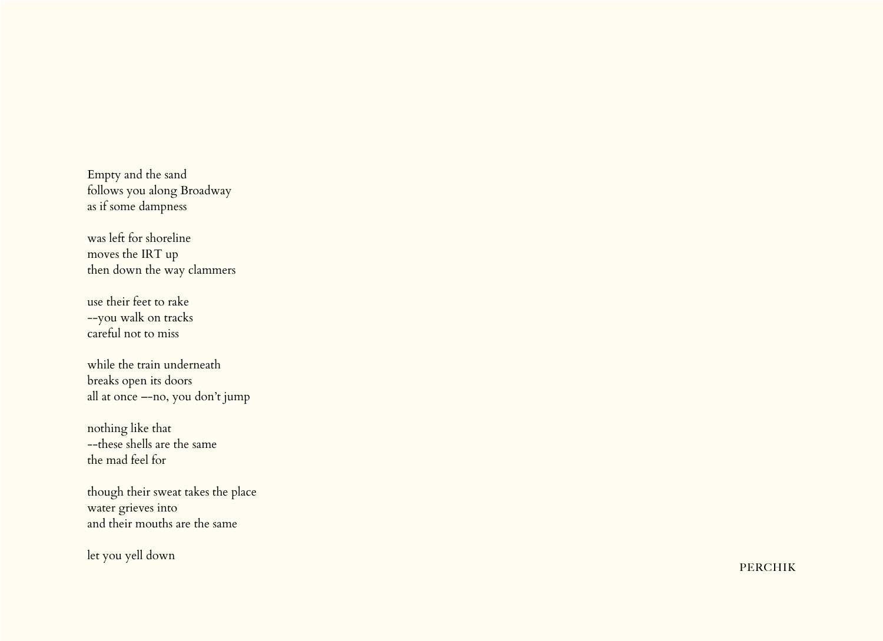Empty and the sand follows you along Broadway as if some dampness

was left for shoreline moves the IRT up then down the way clammers

use their feet to rake --you walk on tracks careful not to miss

while the train underneath breaks open its doors all at once –-no, you don't jump

nothing like that --these shells are the same the mad feel for

though their sweat takes the place water grieves into and their mouths are the same

let you yell down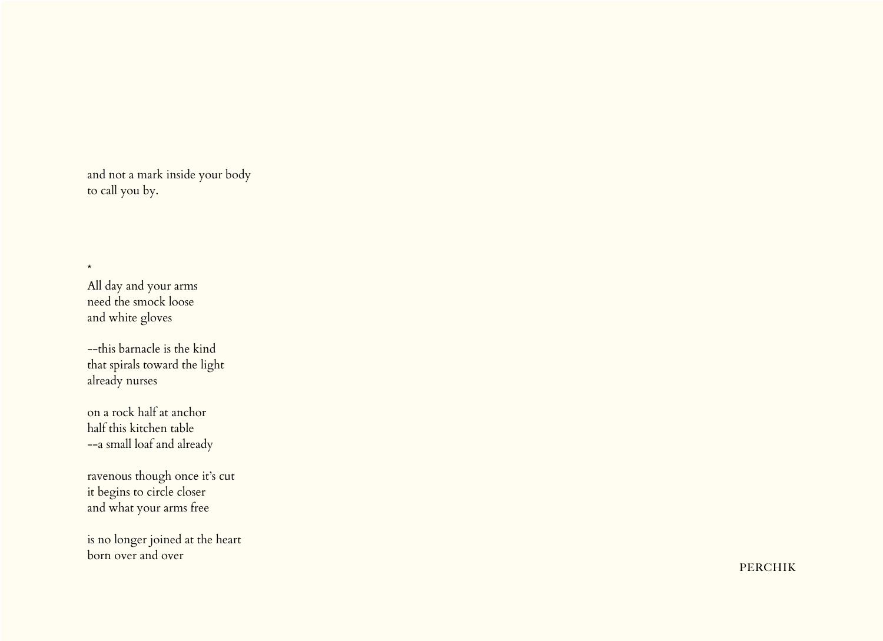and not a mark inside your body to call you by.

All day and your arms need the smock loose and white gloves

\*

--this barnacle is the kind that spirals toward the light already nurses

on a rock half at anchor half this kitchen table --a small loaf and already

ravenous though once it's cut it begins to circle closer and what your arms free

is no longer joined at the heart born over and over